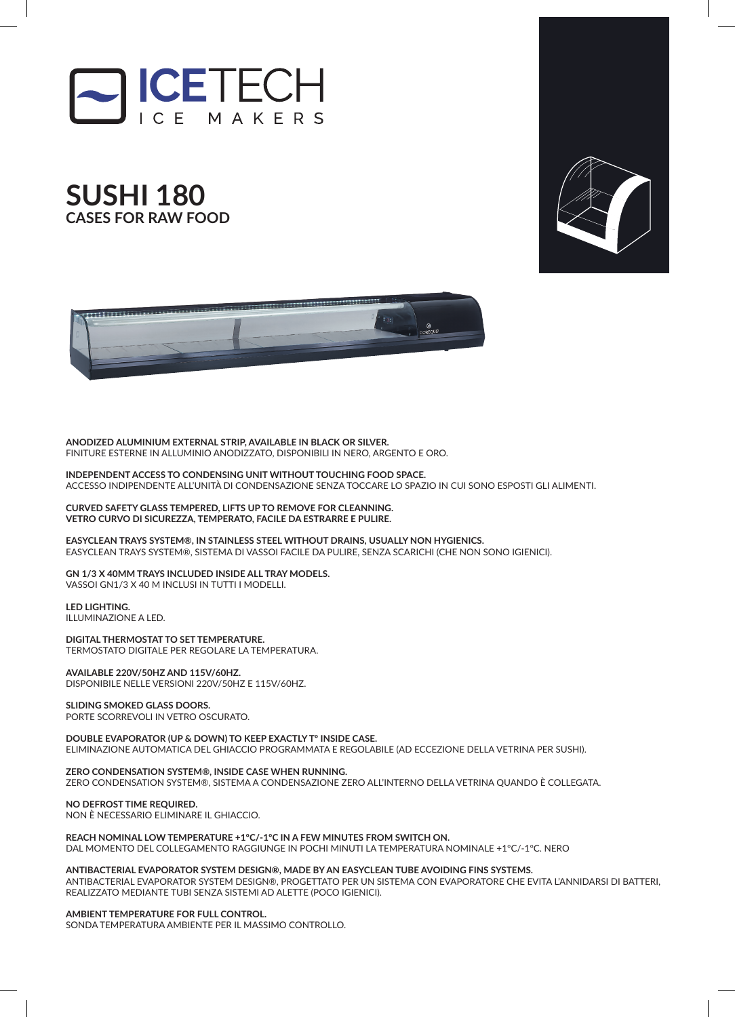







**ANODIZED ALUMINIUM EXTERNAL STRIP, AVAILABLE IN BLACK OR SILVER.** FINITURE ESTERNE IN ALLUMINIO ANODIZZATO, DISPONIBILI IN NERO, ARGENTO E ORO.

**INDEPENDENT ACCESS TO CONDENSING UNIT WITHOUT TOUCHING FOOD SPACE.** ACCESSO INDIPENDENTE ALL'UNITÀ DI CONDENSAZIONE SENZA TOCCARE LO SPAZIO IN CUI SONO ESPOSTI GLI ALIMENTI.

**CURVED SAFETY GLASS TEMPERED, LIFTS UP TO REMOVE FOR CLEANNING. VETRO CURVO DI SICUREZZA, TEMPERATO, FACILE DA ESTRARRE E PULIRE.** 

**EASYCLEAN TRAYS SYSTEM®, IN STAINLESS STEEL WITHOUT DRAINS, USUALLY NON HYGIENICS.** EASYCLEAN TRAYS SYSTEM®, SISTEMA DI VASSOI FACILE DA PULIRE, SENZA SCARICHI (CHE NON SONO IGIENICI).

**GN 1/3 X 40MM TRAYS INCLUDED INSIDE ALL TRAY MODELS.** VASSOI GN1/3 X 40 M INCLUSI IN TUTTI I MODELLI.

**LED LIGHTING.** ILLUMINAZIONE A LED.

**DIGITAL THERMOSTAT TO SET TEMPERATURE.** TERMOSTATO DIGITALE PER REGOLARE LA TEMPERATURA.

**AVAILABLE 220V/50HZ AND 115V/60HZ.** DISPONIBILE NELLE VERSIONI 220V/50HZ E 115V/60HZ.

**SLIDING SMOKED GLASS DOORS.** PORTE SCORREVOLI IN VETRO OSCURATO.

**DOUBLE EVAPORATOR (UP & DOWN) TO KEEP EXACTLY Tº INSIDE CASE.** ELIMINAZIONE AUTOMATICA DEL GHIACCIO PROGRAMMATA E REGOLABILE (AD ECCEZIONE DELLA VETRINA PER SUSHI).

**ZERO CONDENSATION SYSTEM®, INSIDE CASE WHEN RUNNING.** ZERO CONDENSATION SYSTEM®, SISTEMA A CONDENSAZIONE ZERO ALL'INTERNO DELLA VETRINA QUANDO È COLLEGATA.

**NO DEFROST TIME REQUIRED.** NON È NECESSARIO ELIMINARE IL GHIACCIO.

## **REACH NOMINAL LOW TEMPERATURE +1ºC/-1ºC IN A FEW MINUTES FROM SWITCH ON.**

DAL MOMENTO DEL COLLEGAMENTO RAGGIUNGE IN POCHI MINUTI LA TEMPERATURA NOMINALE +1ºC/-1ºC. NERO

**ANTIBACTERIAL EVAPORATOR SYSTEM DESIGN®, MADE BY AN EASYCLEAN TUBE AVOIDING FINS SYSTEMS.**

ANTIBACTERIAL EVAPORATOR SYSTEM DESIGN®, PROGETTATO PER UN SISTEMA CON EVAPORATORE CHE EVITA L'ANNIDARSI DI BATTERI, REALIZZATO MEDIANTE TUBI SENZA SISTEMI AD ALETTE (POCO IGIENICI).

**AMBIENT TEMPERATURE FOR FULL CONTROL.**

SONDA TEMPERATURA AMBIENTE PER IL MASSIMO CONTROLLO.